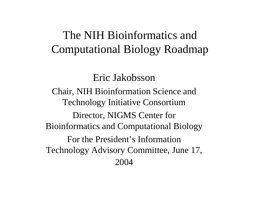#### The NIH Bioinformatics and Computational Biology Roadmap

#### Eric Jakobsson

Chair, NIH Bioinformation Science and Technology Initiative Consortium Director, NIGMS Center for Bioinformatics and Computational Biology For the President's Information Technology Advisory Committee, June 17, 2004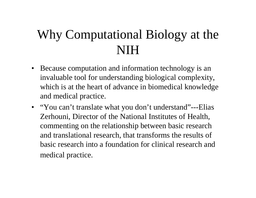#### Why Computational Biology at the NIH

- $\bullet$ Because computation and information technology is an invaluable tool for understanding biological complexity, which is at the heart of advance in biomedical knowledge and medical practice.
- "You can't translate what you don't understand"—-Elias Zerhouni, Director of the National Institutes of Health, commenting on the relationship between basic research and translational research, that transforms the results of basic research into a foundation for clinical research and medical practice.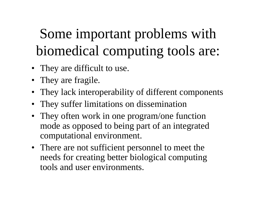# Some important problems with biomedical computing tools are:

- They are difficult to use.
- They are fragile.
- They lack interoperability of different components
- They suffer limitations on dissemination
- They often work in one program/one function mode as opposed to being part of an integrated computational environment.
- There are not sufficient personnel to meet the needs for creating better biological computing tools and user environments.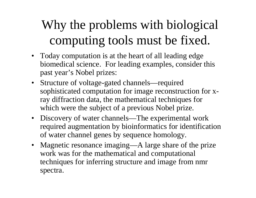#### Why the problems with biological computing tools must be fixed.

- Today computation is at the heart of all leading edge biomedical science. For leading examples, consider this past year's Nobel prizes:
- Structure of voltage-gated channels—required sophisticated computation for image reconstruction for xray diffraction data, the mathematical techniques for which were the subject of a previous Nobel prize.
- Discovery of water channels—The experimental work required augmentation by bioinformatics for identification of water channel genes by sequence homology.
- •Magnetic resonance imaging—A large share of the prize work was for the mathematical and computational techniques for inferring structure and image from nmr spectra.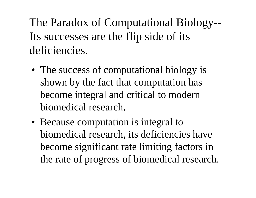The Paradox of Computational Biology-- Its successes are the flip side of its deficiencies.

- The success of computational biology is shown by the fact that computation has become integral and critical to modern biomedical research.
- Because computation is integral to biomedical research, its deficiencies have become significant rate limiting factors in the rate of progress of biomedical research.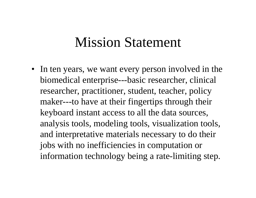#### Mission Statement

• In ten years, we want every person involved in the biomedical enterprise---basic researcher, clinical researcher, practitioner, student, teacher, policy maker---to have at their fingertips through their keyboard instant access to all the data sources, analysis tools, modeling tools, visualization tools, and interpretative materials necessary to do their jobs with no inefficiencies in computation or information technology being a rate-limiting step.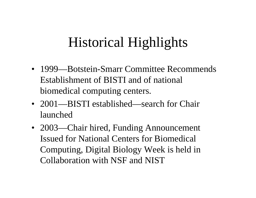#### Historical Highlights

- 1999—Botstein-Smarr Committee Recommends Establishment of BISTI and of national biomedical computing centers.
- 2001—BISTI established—search for Chair launched
- 2003—Chair hired, Funding Announcement Issued for National Centers for Biomedical Computing, Digital Biology Week is held in Collaboration with NSF and NIST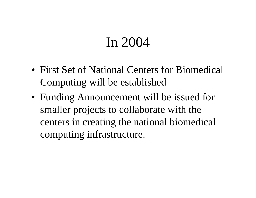#### In 2004

- First Set of National Centers for Biomedical Computing will be established
- Funding Announcement will be issued for smaller projects to collaborate with the centers in creating the national biomedical computing infrastructure.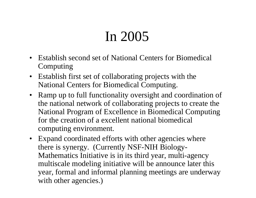### In 2005

- Establish second set of National Centers for Biomedical Computing
- Establish first set of collaborating projects with the National Centers for Biomedical Computing.
- Ramp up to full functionality oversight and coordination of the national network of collaborating projects to create the National Program of Excellence in Biomedical Computing for the creation of a excellent national biomedical computing environment.
- Expand coordinated efforts with other agencies where there is synergy. (Currently NSF-NIH Biology-Mathematics Initiative is in its third year, multi-agency multiscale modeling initiative will be announce later this year, formal and informal planning meetings are underway with other agencies.)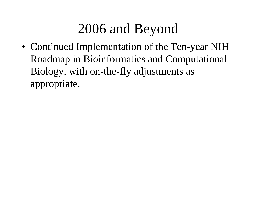#### 2006 and Beyond

• Continued Implementation of the Ten-year NIH Roadmap in Bioinformatics and Computational Biology, with on-the-fly adjustments as appropriate.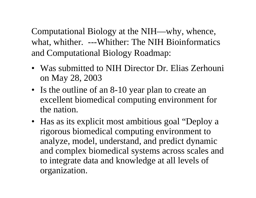Computational Biology at the NIH—why, whence, what, whither. ---Whither: The NIH Bioinformatics and Computational Biology Roadmap:

- Was submitted to NIH Director Dr. Elias Zerhouni on May 28, 2003
- Is the outline of an 8-10 year plan to create an excellent biomedical computing environment for the nation.
- Has as its explicit most ambitious goal "Deploy a rigorous biomedical computing environment to analyze, model, understand, and predict dynamic and complex biomedical systems across scales and to integrate data and knowledge at all levels of organization.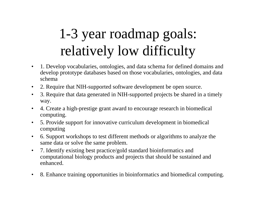# 1-3 year roadmap goals: relatively low difficulty

- $\bullet$  1. Develop vocabularies, ontologies, and data schema for defined domains and develop prototype databases based on those vocabularies, ontologies, and data schema
- $\bullet$ 2. Require that NIH-supported software development be open source.
- $\bullet$  3. Require that data generated in NIH-supported projects be shared in a timely way.
- $\bullet$  4. Create a high-prestige grant award to encourage research in biomedical computing.
- $\bullet$  5. Provide support for innovative curriculum development in biomedical computing
- $\bullet$  6. Support workshops to test different methods or algorithms to analyze the same data or solve the s ame problem.
- $\bullet$  7. Identify existing best practice/gold standard bioinformatics and computational biology products and projects that should be sustained and enhanced.
- •8. Enhance training opportunities in bioinformatics and biomedical computing.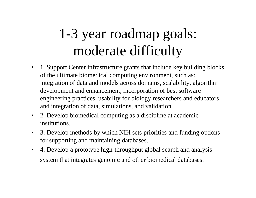## 1-3 year roadmap goals: moderate difficulty

- $\bullet$ 1. Support Center infrastruct ure grants that include key building blocks of the ultimate biomedical computing environment, such as: integration of data and models across domains, scalability, algorithm development and enhancement, incorporation of best software engineering practices, usability for biology researchers and educators, and integration of data, simulations, and validation.
- $\bullet$ 2. Develop biomedical computing as a discipline at academic institutions.
- $\bullet$ 3. Dev elop methods by which NIH sets priorities and funding options for supporting and maintaining databases.
- $\bullet$ 4. Dev elop a prototype high-throughput global search and analysis system that integrates genomic and other biomedical databases.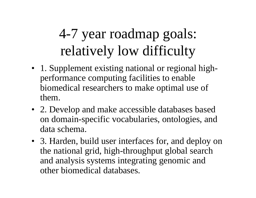# 4-7 year roadmap goals: relatively low difficulty

- 1. Supplement existing national or regional highperformance computing facilities to enable biomedical researchers to make optimal use of them.
- 2. Develop and make accessible databases based on domain-specific vocabularies, ontologies, and data schema.
- 3. Harden, build user interfaces for, and deploy on the national grid, high-throughput global search and analysis systems integrating genomic and other biomedical databases.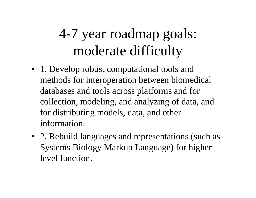### 4-7 year roadmap goals: moderate difficulty

- 1. Develop robust computational tools and methods for interoperation between biomedical databases and tools across platforms and for collection, modeling, and analyzing of data, and for distributing models, data, and other information.
- 2. Rebuild languages and representations (such as Systems Biology Markup Language) for higher level function.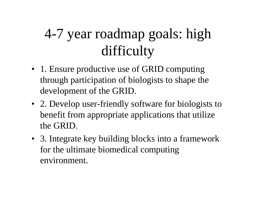# 4-7 year roadmap goals: high difficulty

- 1. Ensure productive use of GRID computing through participation of biologists to shape the development of the GRID.
- 2. Develop user-friendly software for biologists to benefit from appropriate applications that utilize the GRID.
- 3. Integrate key building blocks into a framework for the ultimate biomedical computing environment.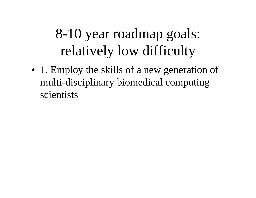## 8-10 year roadmap goals: relatively low difficulty

• 1. Employ the skills of a new generation of multi-disciplinary biomedical computing scientists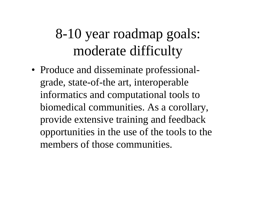### 8-10 year roadmap goals: moderate difficulty

• Produce and disseminate professionalgrade, state-of-the art, interoperable informatics and computational tools to biomedical communities. As a corollary, provide extensive training and feedback opportunities in the use of the tools to the members of those communities.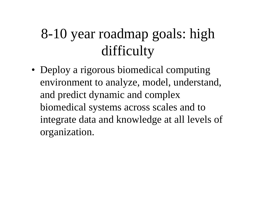## 8-10 year roadmap goals: high difficulty

• Deploy a rigorous biomedical computing environment to analyze, model, understand, and predict dynamic and complex biomedical systems across scales and to integrate data and knowledge at all levels of organization.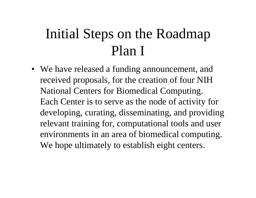### Initial Steps on the Roadmap Plan I

• We have released a funding announcement, and received proposals, for the creation of four NIH National Centers for Biomedical Computing. Each Center is to serve as the node of activity for developing, curating, disseminating, and providing relevant training for, computational tools and user environments in an area of biomedical computing. We hope ultimately to establish eight centers.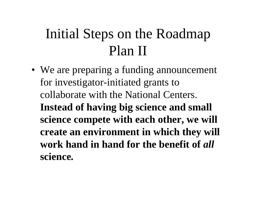### Initial Steps on the Roadmap Plan II

• We are preparing a funding announcement for investigator-initiated grants to collaborate with the National Centers. **Instead of having big science and small science compete with each other, we will create an environment in which they will work hand in hand for the benefit of** *all*  **science***.*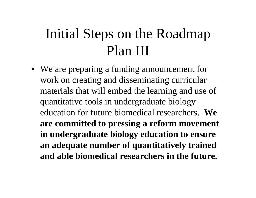### Initial Steps on the Roadmap Plan III

• We are preparing a funding announcement for work on creating and disseminating curricular materials that will embed the learning and use of quantitative tools in undergraduate biology education for future biomedical researchers. **We are committed to pressing a reform movement in undergraduate biology education to ensure an adequate number of quantitatively trained and able biomedical researchers in the future.**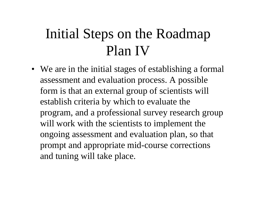### Initial Steps on the Roadmap Plan IV

• We are in the initial stages of establishing a formal assessment and evaluation process. A possible form is that an external group of scientists will establish criteria by which to evaluate the program, and a professional survey research group will work with the scientists to implement the ongoing assessment and evaluation plan, so that prompt and appropriate mid-course corrections and tuning will take place.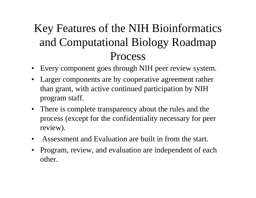#### Key Features of the NIH Bioinformatics and Computational Biology Roadmap Process

- $\bullet$ Every component goes through NIH peer review system.
- Larger components are by cooperative agreement rather than grant, with active continued participation by NIH program staff.
- There is complete transparency about the rules and the process (except for the confidentiality necessary for peer review).
- $\bullet$ Assessment and Evaluation are built in from the start.
- $\bullet$ Program, review, and evaluation are independent of each other.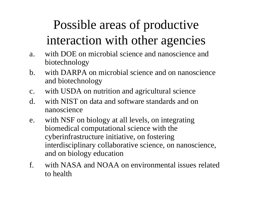#### Possible areas of productive interaction with other agencies

- a.with DOE on microbial science and nanoscience and biotechnology
- b. with DARPA on microbial science and on nanoscience and biotechnology
- c.with USDA on nutrition and agricultural science
- d. with NIST on data and software standards and onnanoscience
- e.with NSF on biology at all levels, on integrating biomedical computational science with the cyberinfrastructure initiative, on fostering interdisciplinary collaborative science, on nanoscience, and on biology education
- f. with NASA and NOAA on environmental issues related to health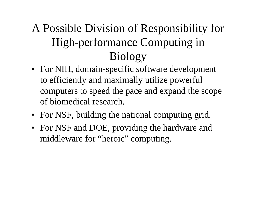#### A Possible Division of Responsibility for High-performance Computing in Biology

- For NIH, domain-specific software development to efficiently and maximally utilize powerful computers to speed the pace and expand the scope of biomedical research.
- For NSF, building the national computing grid.
- For NSF and DOE, providing the hardware and middleware for "heroic" computing.